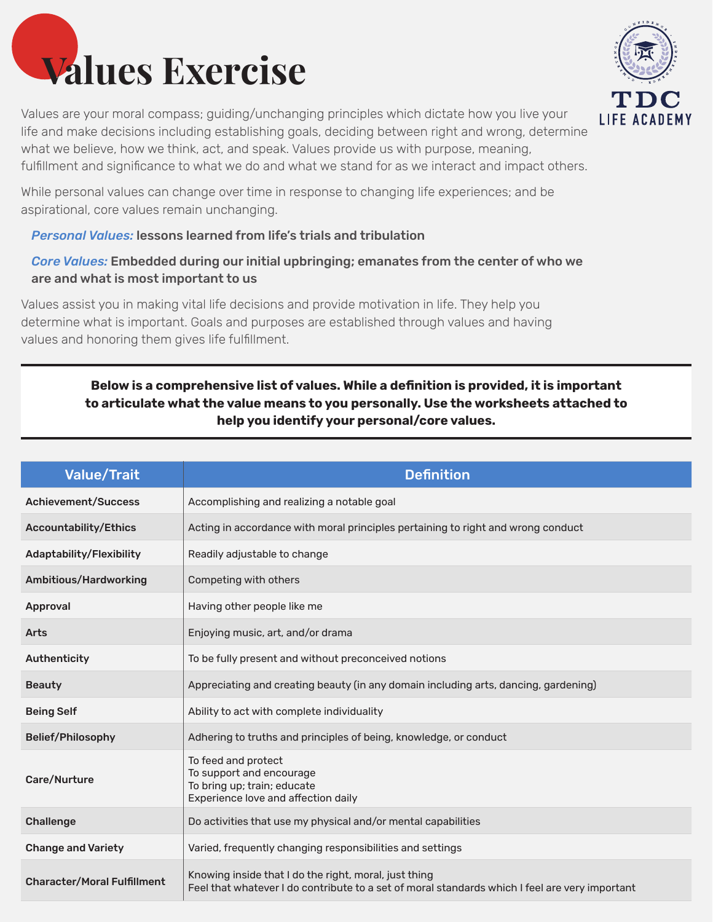

Values are your moral compass; guiding/unchanging principles which dictate how you live your life and make decisions including establishing goals, deciding between right and wrong, determine what we believe, how we think, act, and speak. Values provide us with purpose, meaning, fulfillment and significance to what we do and what we stand for as we interact and impact others.

While personal values can change over time in response to changing life experiences; and be aspirational, core values remain unchanging.

#### *Personal Values:* lessons learned from life's trials and tribulation

## *Core Values:* Embedded during our initial upbringing; emanates from the center of who we are and what is most important to us

Values assist you in making vital life decisions and provide motivation in life. They help you determine what is important. Goals and purposes are established through values and having values and honoring them gives life fulfillment.

# **Below is a comprehensive list of values. While a definition is provided, it is important to articulate what the value means to you personally. Use the worksheets attached to help you identify your personal/core values.**

| <b>Value/Trait</b>                 | <b>Definition</b>                                                                                                                                       |  |
|------------------------------------|---------------------------------------------------------------------------------------------------------------------------------------------------------|--|
| <b>Achievement/Success</b>         | Accomplishing and realizing a notable goal                                                                                                              |  |
| <b>Accountability/Ethics</b>       | Acting in accordance with moral principles pertaining to right and wrong conduct                                                                        |  |
| Adaptability/Flexibility           | Readily adjustable to change                                                                                                                            |  |
| Ambitious/Hardworking              | Competing with others                                                                                                                                   |  |
| Approval                           | Having other people like me                                                                                                                             |  |
| <b>Arts</b>                        | Enjoying music, art, and/or drama                                                                                                                       |  |
| Authenticity                       | To be fully present and without preconceived notions                                                                                                    |  |
| <b>Beauty</b>                      | Appreciating and creating beauty (in any domain including arts, dancing, gardening)                                                                     |  |
| <b>Being Self</b>                  | Ability to act with complete individuality                                                                                                              |  |
| <b>Belief/Philosophy</b>           | Adhering to truths and principles of being, knowledge, or conduct                                                                                       |  |
| Care/Nurture                       | To feed and protect<br>To support and encourage<br>To bring up; train; educate<br>Experience love and affection daily                                   |  |
| <b>Challenge</b>                   | Do activities that use my physical and/or mental capabilities                                                                                           |  |
| <b>Change and Variety</b>          | Varied, frequently changing responsibilities and settings                                                                                               |  |
| <b>Character/Moral Fulfillment</b> | Knowing inside that I do the right, moral, just thing<br>Feel that whatever I do contribute to a set of moral standards which I feel are very important |  |

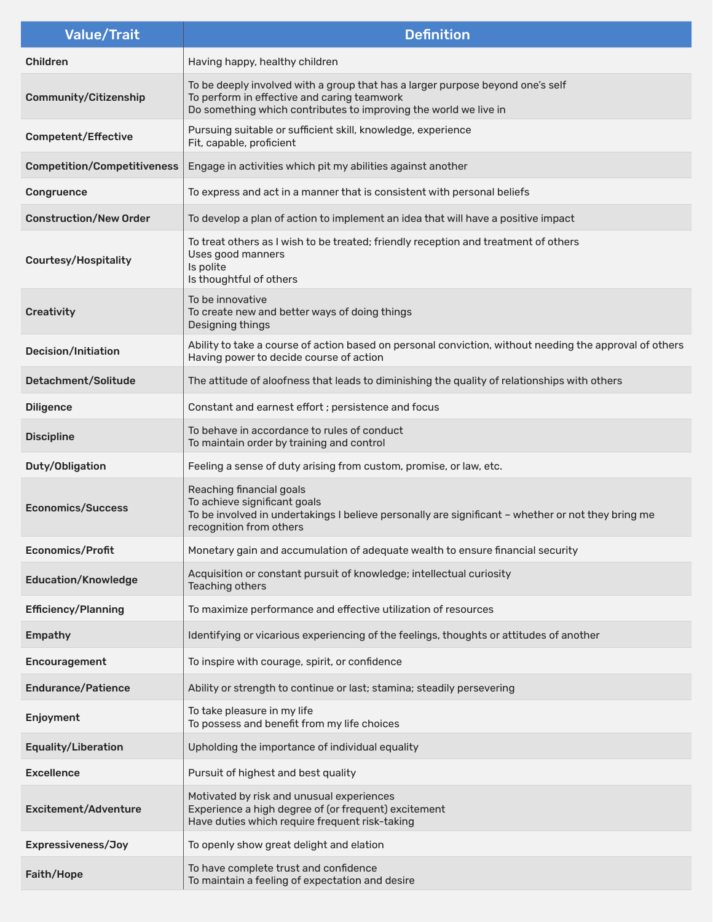| <b>Value/Trait</b>                 | <b>Definition</b>                                                                                                                                                                                 |  |
|------------------------------------|---------------------------------------------------------------------------------------------------------------------------------------------------------------------------------------------------|--|
| <b>Children</b>                    | Having happy, healthy children                                                                                                                                                                    |  |
| <b>Community/Citizenship</b>       | To be deeply involved with a group that has a larger purpose beyond one's self<br>To perform in effective and caring teamwork<br>Do something which contributes to improving the world we live in |  |
| <b>Competent/Effective</b>         | Pursuing suitable or sufficient skill, knowledge, experience<br>Fit, capable, proficient                                                                                                          |  |
| <b>Competition/Competitiveness</b> | Engage in activities which pit my abilities against another                                                                                                                                       |  |
| Congruence                         | To express and act in a manner that is consistent with personal beliefs                                                                                                                           |  |
| <b>Construction/New Order</b>      | To develop a plan of action to implement an idea that will have a positive impact                                                                                                                 |  |
| <b>Courtesy/Hospitality</b>        | To treat others as I wish to be treated; friendly reception and treatment of others<br>Uses good manners<br>Is polite<br>Is thoughtful of others                                                  |  |
| Creativity                         | To be innovative<br>To create new and better ways of doing things<br>Designing things                                                                                                             |  |
| Decision/Initiation                | Ability to take a course of action based on personal conviction, without needing the approval of others<br>Having power to decide course of action                                                |  |
| Detachment/Solitude                | The attitude of aloofness that leads to diminishing the quality of relationships with others                                                                                                      |  |
| <b>Diligence</b>                   | Constant and earnest effort ; persistence and focus                                                                                                                                               |  |
| <b>Discipline</b>                  | To behave in accordance to rules of conduct<br>To maintain order by training and control                                                                                                          |  |
| Duty/Obligation                    | Feeling a sense of duty arising from custom, promise, or law, etc.                                                                                                                                |  |
| <b>Economics/Success</b>           | Reaching financial goals<br>To achieve significant goals<br>To be involved in undertakings I believe personally are significant - whether or not they bring me<br>recognition from others         |  |
| Economics/Profit                   | Monetary gain and accumulation of adequate wealth to ensure financial security                                                                                                                    |  |
| <b>Education/Knowledge</b>         | Acquisition or constant pursuit of knowledge; intellectual curiosity<br>Teaching others                                                                                                           |  |
| <b>Efficiency/Planning</b>         | To maximize performance and effective utilization of resources                                                                                                                                    |  |
| <b>Empathy</b>                     | Identifying or vicarious experiencing of the feelings, thoughts or attitudes of another                                                                                                           |  |
| Encouragement                      | To inspire with courage, spirit, or confidence                                                                                                                                                    |  |
| <b>Endurance/Patience</b>          | Ability or strength to continue or last; stamina; steadily persevering                                                                                                                            |  |
| Enjoyment                          | To take pleasure in my life<br>To possess and benefit from my life choices                                                                                                                        |  |
| <b>Equality/Liberation</b>         | Upholding the importance of individual equality                                                                                                                                                   |  |
| <b>Excellence</b>                  | Pursuit of highest and best quality                                                                                                                                                               |  |
| <b>Excitement/Adventure</b>        | Motivated by risk and unusual experiences<br>Experience a high degree of (or frequent) excitement<br>Have duties which require frequent risk-taking                                               |  |
| Expressiveness/Joy                 | To openly show great delight and elation                                                                                                                                                          |  |
| Faith/Hope                         | To have complete trust and confidence<br>To maintain a feeling of expectation and desire                                                                                                          |  |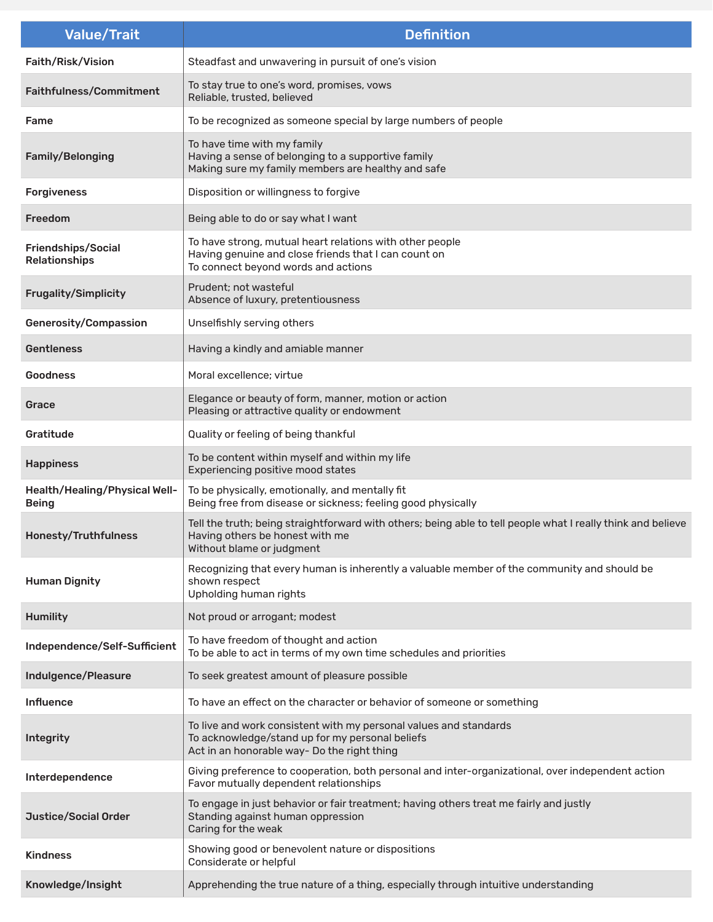| <b>Value/Trait</b>                            | <b>Definition</b>                                                                                                                                                            |  |
|-----------------------------------------------|------------------------------------------------------------------------------------------------------------------------------------------------------------------------------|--|
| Faith/Risk/Vision                             | Steadfast and unwavering in pursuit of one's vision                                                                                                                          |  |
| Faithfulness/Commitment                       | To stay true to one's word, promises, vows<br>Reliable, trusted, believed                                                                                                    |  |
| Fame                                          | To be recognized as someone special by large numbers of people                                                                                                               |  |
| Family/Belonging                              | To have time with my family<br>Having a sense of belonging to a supportive family<br>Making sure my family members are healthy and safe                                      |  |
| <b>Forgiveness</b>                            | Disposition or willingness to forgive                                                                                                                                        |  |
| <b>Freedom</b>                                | Being able to do or say what I want                                                                                                                                          |  |
| Friendships/Social<br>Relationships           | To have strong, mutual heart relations with other people<br>Having genuine and close friends that I can count on<br>To connect beyond words and actions                      |  |
| Frugality/Simplicity                          | Prudent; not wasteful<br>Absence of luxury, pretentiousness                                                                                                                  |  |
| Generosity/Compassion                         | Unselfishly serving others                                                                                                                                                   |  |
| <b>Gentleness</b>                             | Having a kindly and amiable manner                                                                                                                                           |  |
| <b>Goodness</b>                               | Moral excellence: virtue                                                                                                                                                     |  |
| Grace                                         | Elegance or beauty of form, manner, motion or action<br>Pleasing or attractive quality or endowment                                                                          |  |
| Gratitude                                     | Quality or feeling of being thankful                                                                                                                                         |  |
| <b>Happiness</b>                              | To be content within myself and within my life<br>Experiencing positive mood states                                                                                          |  |
| Health/Healing/Physical Well-<br><b>Being</b> | To be physically, emotionally, and mentally fit<br>Being free from disease or sickness; feeling good physically                                                              |  |
| Honesty/Truthfulness                          | Tell the truth; being straightforward with others; being able to tell people what I really think and believe<br>Having others be honest with me<br>Without blame or judgment |  |
| <b>Human Dignity</b>                          | Recognizing that every human is inherently a valuable member of the community and should be<br>shown respect<br>Upholding human rights                                       |  |
| <b>Humility</b>                               | Not proud or arrogant; modest                                                                                                                                                |  |
| Independence/Self-Sufficient                  | To have freedom of thought and action<br>To be able to act in terms of my own time schedules and priorities                                                                  |  |
| Indulgence/Pleasure                           | To seek greatest amount of pleasure possible                                                                                                                                 |  |
| <b>Influence</b>                              | To have an effect on the character or behavior of someone or something                                                                                                       |  |
| <b>Integrity</b>                              | To live and work consistent with my personal values and standards<br>To acknowledge/stand up for my personal beliefs<br>Act in an honorable way- Do the right thing          |  |
| Interdependence                               | Giving preference to cooperation, both personal and inter-organizational, over independent action<br>Favor mutually dependent relationships                                  |  |
| <b>Justice/Social Order</b>                   | To engage in just behavior or fair treatment; having others treat me fairly and justly<br>Standing against human oppression<br>Caring for the weak                           |  |
| <b>Kindness</b>                               | Showing good or benevolent nature or dispositions<br>Considerate or helpful                                                                                                  |  |
| Knowledge/Insight                             | Apprehending the true nature of a thing, especially through intuitive understanding                                                                                          |  |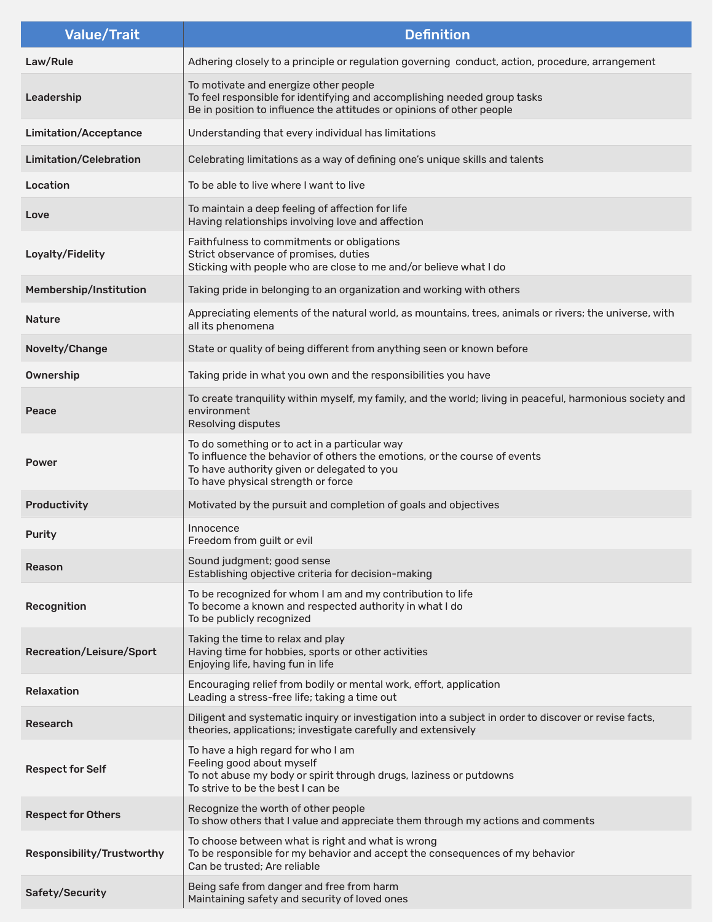| <b>Value/Trait</b>            | <b>Definition</b>                                                                                                                                                                                               |  |
|-------------------------------|-----------------------------------------------------------------------------------------------------------------------------------------------------------------------------------------------------------------|--|
| Law/Rule                      | Adhering closely to a principle or regulation governing conduct, action, procedure, arrangement                                                                                                                 |  |
| Leadership                    | To motivate and energize other people<br>To feel responsible for identifying and accomplishing needed group tasks<br>Be in position to influence the attitudes or opinions of other people                      |  |
| <b>Limitation/Acceptance</b>  | Understanding that every individual has limitations                                                                                                                                                             |  |
| <b>Limitation/Celebration</b> | Celebrating limitations as a way of defining one's unique skills and talents                                                                                                                                    |  |
| Location                      | To be able to live where I want to live                                                                                                                                                                         |  |
| Love                          | To maintain a deep feeling of affection for life<br>Having relationships involving love and affection                                                                                                           |  |
| Loyalty/Fidelity              | Faithfulness to commitments or obligations<br>Strict observance of promises, duties<br>Sticking with people who are close to me and/or believe what I do                                                        |  |
| Membership/Institution        | Taking pride in belonging to an organization and working with others                                                                                                                                            |  |
| <b>Nature</b>                 | Appreciating elements of the natural world, as mountains, trees, animals or rivers; the universe, with<br>all its phenomena                                                                                     |  |
| Novelty/Change                | State or quality of being different from anything seen or known before                                                                                                                                          |  |
| <b>Ownership</b>              | Taking pride in what you own and the responsibilities you have                                                                                                                                                  |  |
| Peace                         | To create tranquility within myself, my family, and the world; living in peaceful, harmonious society and<br>environment<br>Resolving disputes                                                                  |  |
| <b>Power</b>                  | To do something or to act in a particular way<br>To influence the behavior of others the emotions, or the course of events<br>To have authority given or delegated to you<br>To have physical strength or force |  |
| Productivity                  | Motivated by the pursuit and completion of goals and objectives                                                                                                                                                 |  |
| <b>Purity</b>                 | Innocence<br>Freedom from guilt or evil                                                                                                                                                                         |  |
| <b>Reason</b>                 | Sound judgment; good sense<br>Establishing objective criteria for decision-making                                                                                                                               |  |
| Recognition                   | To be recognized for whom I am and my contribution to life<br>To become a known and respected authority in what I do<br>To be publicly recognized                                                               |  |
| Recreation/Leisure/Sport      | Taking the time to relax and play<br>Having time for hobbies, sports or other activities<br>Enjoying life, having fun in life                                                                                   |  |
| <b>Relaxation</b>             | Encouraging relief from bodily or mental work, effort, application<br>Leading a stress-free life; taking a time out                                                                                             |  |
| Research                      | Diligent and systematic inquiry or investigation into a subject in order to discover or revise facts,<br>theories, applications; investigate carefully and extensively                                          |  |
| <b>Respect for Self</b>       | To have a high regard for who I am<br>Feeling good about myself<br>To not abuse my body or spirit through drugs, laziness or putdowns<br>To strive to be the best I can be                                      |  |
| <b>Respect for Others</b>     | Recognize the worth of other people<br>To show others that I value and appreciate them through my actions and comments                                                                                          |  |
| Responsibility/Trustworthy    | To choose between what is right and what is wrong<br>To be responsible for my behavior and accept the consequences of my behavior<br>Can be trusted; Are reliable                                               |  |
| Safety/Security               | Being safe from danger and free from harm<br>Maintaining safety and security of loved ones                                                                                                                      |  |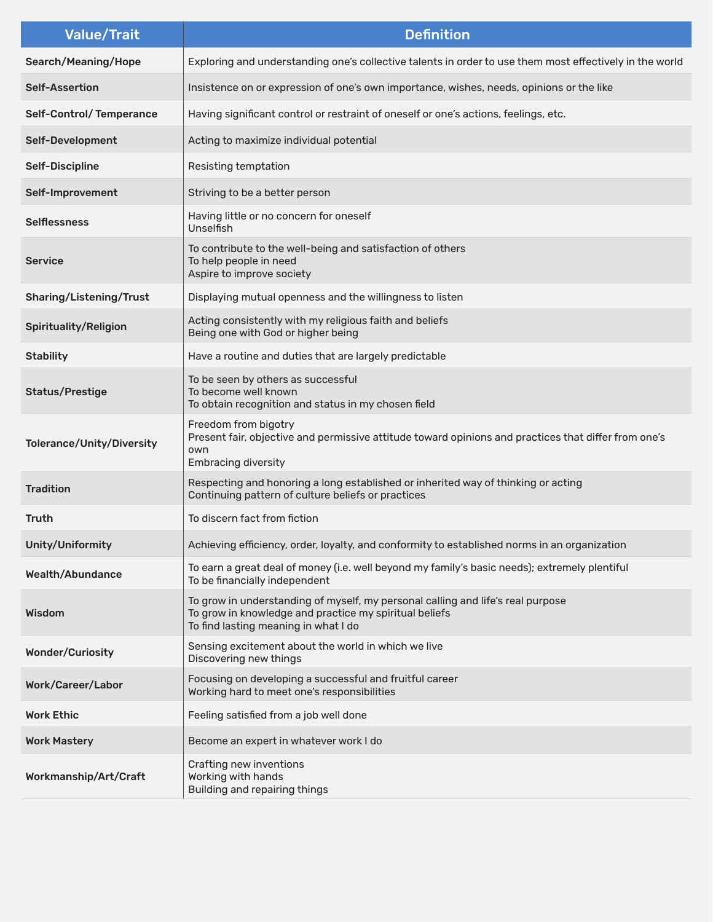| <b>Value/Trait</b>        | <b>Definition</b>                                                                                                                                                                 |  |
|---------------------------|-----------------------------------------------------------------------------------------------------------------------------------------------------------------------------------|--|
| Search/Meaning/Hope       | Exploring and understanding one's collective talents in order to use them most effectively in the world                                                                           |  |
| <b>Self-Assertion</b>     | Insistence on or expression of one's own importance, wishes, needs, opinions or the like                                                                                          |  |
| Self-Control/Temperance   | Having significant control or restraint of oneself or one's actions, feelings, etc.                                                                                               |  |
| Self-Development          | Acting to maximize individual potential                                                                                                                                           |  |
| <b>Self-Discipline</b>    | Resisting temptation                                                                                                                                                              |  |
| Self-Improvement          | Striving to be a better person                                                                                                                                                    |  |
| <b>Selflessness</b>       | Having little or no concern for oneself<br>Unselfish                                                                                                                              |  |
| <b>Service</b>            | To contribute to the well-being and satisfaction of others<br>To help people in need<br>Aspire to improve society                                                                 |  |
| Sharing/Listening/Trust   | Displaying mutual openness and the willingness to listen                                                                                                                          |  |
| Spirituality/Religion     | Acting consistently with my religious faith and beliefs<br>Being one with God or higher being                                                                                     |  |
| <b>Stability</b>          | Have a routine and duties that are largely predictable                                                                                                                            |  |
| <b>Status/Prestige</b>    | To be seen by others as successful<br>To become well known<br>To obtain recognition and status in my chosen field                                                                 |  |
| Tolerance/Unity/Diversity | Freedom from bigotry<br>Present fair, objective and permissive attitude toward opinions and practices that differ from one's<br>own<br><b>Embracing diversity</b>                 |  |
| <b>Tradition</b>          | Respecting and honoring a long established or inherited way of thinking or acting<br>Continuing pattern of culture beliefs or practices                                           |  |
| <b>Truth</b>              | To discern fact from fiction                                                                                                                                                      |  |
| Unity/Uniformity          | Achieving efficiency, order, loyalty, and conformity to established norms in an organization                                                                                      |  |
| <b>Wealth/Abundance</b>   | To earn a great deal of money (i.e. well beyond my family's basic needs); extremely plentiful<br>To be financially independent                                                    |  |
| Wisdom                    | To grow in understanding of myself, my personal calling and life's real purpose<br>To grow in knowledge and practice my spiritual beliefs<br>To find lasting meaning in what I do |  |
| <b>Wonder/Curiosity</b>   | Sensing excitement about the world in which we live<br>Discovering new things                                                                                                     |  |
| Work/Career/Labor         | Focusing on developing a successful and fruitful career<br>Working hard to meet one's responsibilities                                                                            |  |
| <b>Work Ethic</b>         | Feeling satisfied from a job well done                                                                                                                                            |  |
| <b>Work Mastery</b>       | Become an expert in whatever work I do                                                                                                                                            |  |
| Workmanship/Art/Craft     | Crafting new inventions<br>Working with hands<br>Building and repairing things                                                                                                    |  |